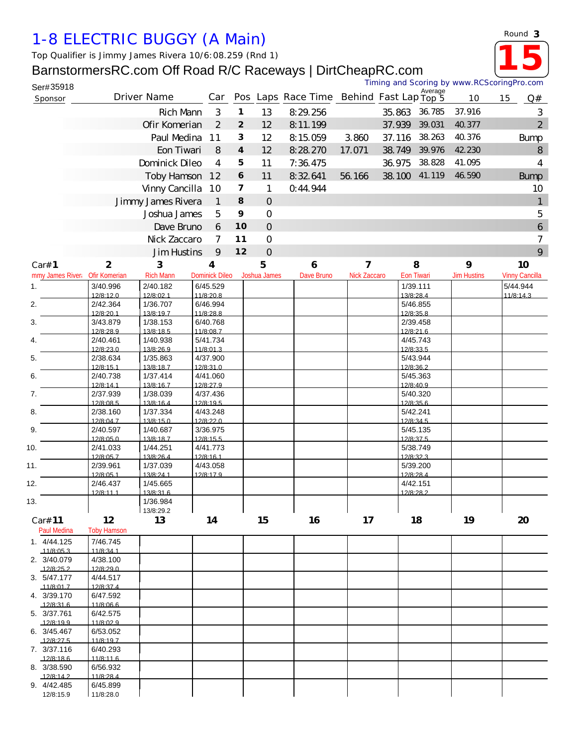## *1-8 ELECTRIC BUGGY (A Main)*

*Top Qualifier is Jimmy James Rivera 10/6:08.259 (Rnd 1)*

## BarnstormersRC.com Off Road R/C Raceways | DirtCheapRC.com



**15**